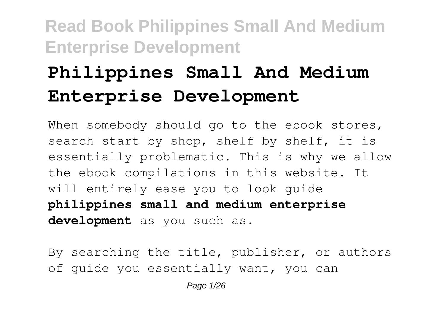# **Philippines Small And Medium Enterprise Development**

When somebody should go to the ebook stores, search start by shop, shelf by shelf, it is essentially problematic. This is why we allow the ebook compilations in this website. It will entirely ease you to look guide **philippines small and medium enterprise development** as you such as.

By searching the title, publisher, or authors of guide you essentially want, you can

Page 1/26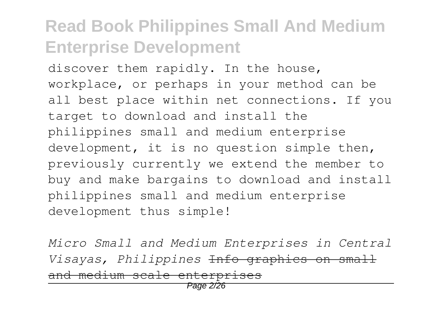discover them rapidly. In the house, workplace, or perhaps in your method can be all best place within net connections. If you target to download and install the philippines small and medium enterprise development, it is no question simple then, previously currently we extend the member to buy and make bargains to download and install philippines small and medium enterprise development thus simple!

*Micro Small and Medium Enterprises in Central Visayas, Philippines* Info graphics on small and medium scale enterprises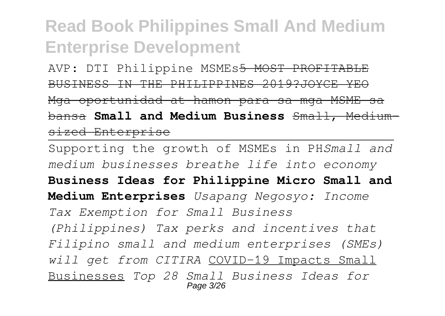AVP: DTI Philippine MSMEs5 MOST PROFITABLE BUSINESS IN THE PHILIPPINES 2019?JOYCE YEO Mga oportunidad at hamon para sa mga MSME sa bansa **Small and Medium Business** Small, Mediumsized Enterprise

Supporting the growth of MSMEs in PH*Small and medium businesses breathe life into economy* **Business Ideas for Philippine Micro Small and Medium Enterprises** *Usapang Negosyo: Income Tax Exemption for Small Business (Philippines) Tax perks and incentives that Filipino small and medium enterprises (SMEs) will get from CITIRA* COVID-19 Impacts Small Businesses *Top 28 Small Business Ideas for* Page 3/26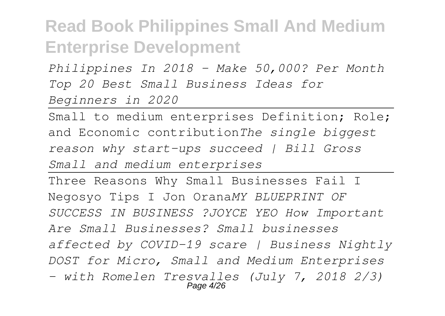*Philippines In 2018 - Make 50,000? Per Month Top 20 Best Small Business Ideas for Beginners in 2020*

Small to medium enterprises Definition; Role; and Economic contribution*The single biggest reason why start-ups succeed | Bill Gross Small and medium enterprises*

Three Reasons Why Small Businesses Fail I Negosyo Tips I Jon Orana*MY BLUEPRINT OF SUCCESS IN BUSINESS ?JOYCE YEO How Important Are Small Businesses? Small businesses affected by COVID-19 scare | Business Nightly DOST for Micro, Small and Medium Enterprises - with Romelen Tresvalles (July 7, 2018 2/3)* Page 4/26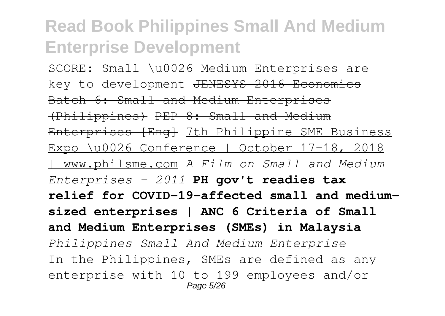SCORE: Small \u0026 Medium Enterprises are key to development JENESYS 2016 Economics Batch 6: Small and Medium Enterprises (Philippines) PEP 8: Small and Medium Enterprises [Eng] 7th Philippine SME Business Expo \u0026 Conference | October 17-18, 2018 | www.philsme.com *A Film on Small and Medium Enterprises - 2011* **PH gov't readies tax relief for COVID-19-affected small and mediumsized enterprises | ANC 6 Criteria of Small and Medium Enterprises (SMEs) in Malaysia** *Philippines Small And Medium Enterprise* In the Philippines, SMEs are defined as any enterprise with 10 to 199 employees and/or Page 5/26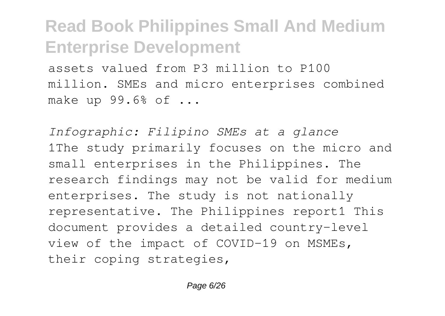assets valued from P3 million to P100 million. SMEs and micro enterprises combined make up 99.6% of ...

*Infographic: Filipino SMEs at a glance* 1The study primarily focuses on the micro and small enterprises in the Philippines. The research findings may not be valid for medium enterprises. The study is not nationally representative. The Philippines report1 This document provides a detailed country-level view of the impact of COVID-19 on MSMEs, their coping strategies,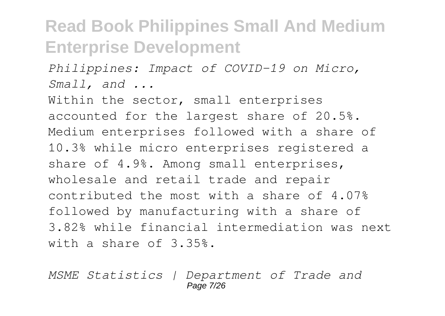*Philippines: Impact of COVID-19 on Micro, Small, and ...*

Within the sector, small enterprises accounted for the largest share of 20.5%. Medium enterprises followed with a share of 10.3% while micro enterprises registered a share of 4.9%. Among small enterprises, wholesale and retail trade and repair contributed the most with a share of 4.07% followed by manufacturing with a share of 3.82% while financial intermediation was next with a share of 3.35%.

*MSME Statistics | Department of Trade and* Page 7/26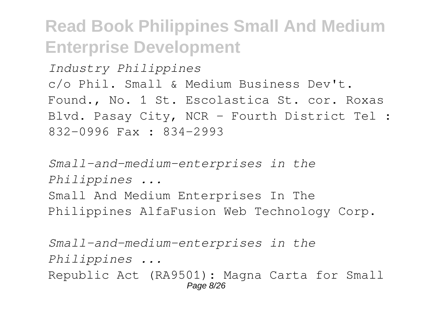*Industry Philippines* c/o Phil. Small & Medium Business Dev't. Found., No. 1 St. Escolastica St. cor. Roxas Blvd. Pasay City, NCR - Fourth District Tel : 832-0996 Fax : 834-2993

*Small-and-medium-enterprises in the Philippines ...* Small And Medium Enterprises In The Philippines AlfaFusion Web Technology Corp.

*Small-and-medium-enterprises in the Philippines ...* Republic Act (RA9501): Magna Carta for Small Page 8/26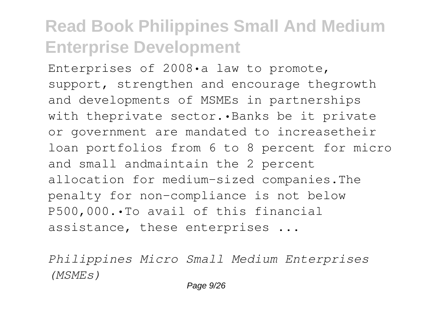Enterprises of 2008•a law to promote, support, strengthen and encourage thegrowth and developments of MSMEs in partnerships with theprivate sector. · Banks be it private or government are mandated to increasetheir loan portfolios from 6 to 8 percent for micro and small andmaintain the 2 percent allocation for medium-sized companies.The penalty for non-compliance is not below P500,000.•To avail of this financial assistance, these enterprises ...

*Philippines Micro Small Medium Enterprises (MSMEs)*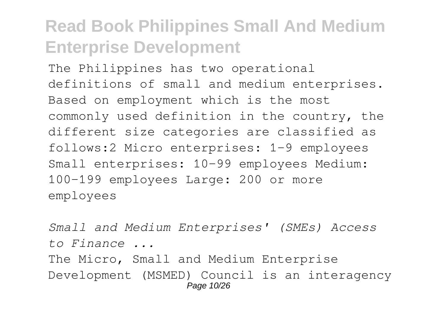The Philippines has two operational definitions of small and medium enterprises. Based on employment which is the most commonly used definition in the country, the different size categories are classified as follows:2 Micro enterprises: 1-9 employees Small enterprises: 10-99 employees Medium: 100-199 employees Large: 200 or more employees

*Small and Medium Enterprises' (SMEs) Access to Finance ...* The Micro, Small and Medium Enterprise Development (MSMED) Council is an interagency Page 10/26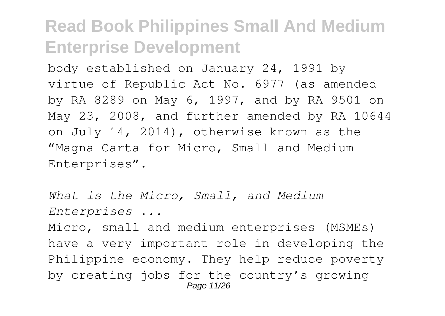body established on January 24, 1991 by virtue of Republic Act No. 6977 (as amended by RA 8289 on May 6, 1997, and by RA 9501 on May 23, 2008, and further amended by RA 10644 on July 14, 2014), otherwise known as the "Magna Carta for Micro, Small and Medium Enterprises".

*What is the Micro, Small, and Medium Enterprises ...*

Micro, small and medium enterprises (MSMEs) have a very important role in developing the Philippine economy. They help reduce poverty by creating jobs for the country's growing Page 11/26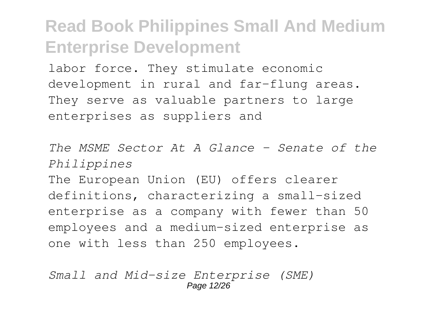labor force. They stimulate economic development in rural and far-flung areas. They serve as valuable partners to large enterprises as suppliers and

*The MSME Sector At A Glance - Senate of the Philippines*

The European Union (EU) offers clearer definitions, characterizing a small-sized enterprise as a company with fewer than 50 employees and a medium-sized enterprise as one with less than 250 employees.

*Small and Mid-size Enterprise (SME)* Page 12/26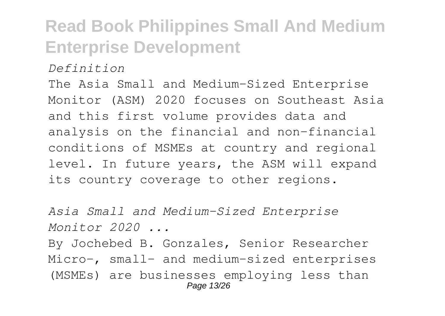*Definition*

The Asia Small and Medium-Sized Enterprise Monitor (ASM) 2020 focuses on Southeast Asia and this first volume provides data and analysis on the financial and non-financial conditions of MSMEs at country and regional level. In future years, the ASM will expand its country coverage to other regions.

*Asia Small and Medium-Sized Enterprise Monitor 2020 ...* By Jochebed B. Gonzales, Senior Researcher Micro-, small- and medium-sized enterprises (MSMEs) are businesses employing less than Page 13/26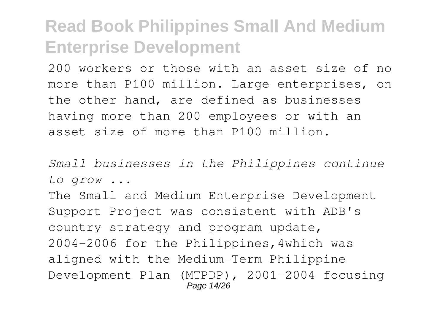200 workers or those with an asset size of no more than P100 million. Large enterprises, on the other hand, are defined as businesses having more than 200 employees or with an asset size of more than P100 million.

*Small businesses in the Philippines continue to grow ...*

The Small and Medium Enterprise Development Support Project was consistent with ADB's country strategy and program update, 2004–2006 for the Philippines,4which was aligned with the Medium-Term Philippine Development Plan (MTPDP), 2001–2004 focusing Page 14/26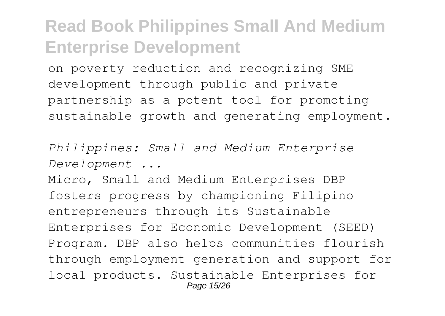on poverty reduction and recognizing SME development through public and private partnership as a potent tool for promoting sustainable growth and generating employment.

*Philippines: Small and Medium Enterprise Development ...*

Micro, Small and Medium Enterprises DBP fosters progress by championing Filipino entrepreneurs through its Sustainable Enterprises for Economic Development (SEED) Program. DBP also helps communities flourish through employment generation and support for local products. Sustainable Enterprises for Page 15/26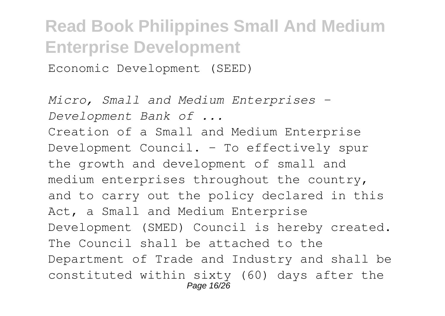Economic Development (SEED)

*Micro, Small and Medium Enterprises - Development Bank of ...* Creation of a Small and Medium Enterprise Development Council. - To effectively spur the growth and development of small and medium enterprises throughout the country, and to carry out the policy declared in this Act, a Small and Medium Enterprise Development (SMED) Council is hereby created. The Council shall be attached to the Department of Trade and Industry and shall be constituted within sixty (60) days after the Page 16/26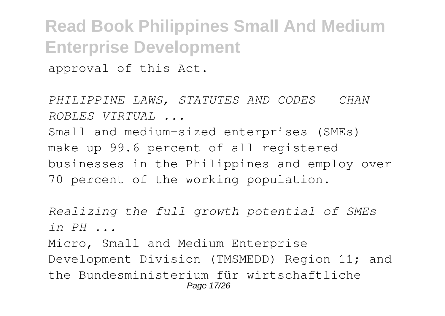**Read Book Philippines Small And Medium Enterprise Development** approval of this Act.

*PHILIPPINE LAWS, STATUTES AND CODES - CHAN ROBLES VIRTUAL ...*

Small and medium-sized enterprises (SMEs) make up 99.6 percent of all registered businesses in the Philippines and employ over 70 percent of the working population.

*Realizing the full growth potential of SMEs in PH ...* Micro, Small and Medium Enterprise Development Division (TMSMEDD) Region 11; and the Bundesministerium für wirtschaftliche Page 17/26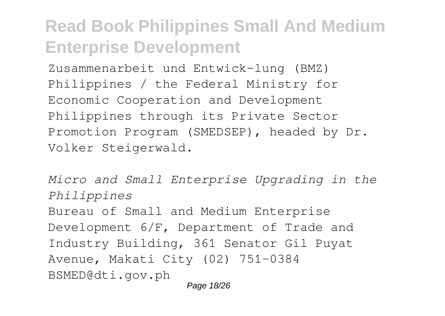Zusammenarbeit und Entwick-lung (BMZ) Philippines / the Federal Ministry for Economic Cooperation and Development Philippines through its Private Sector Promotion Program (SMEDSEP), headed by Dr. Volker Steigerwald.

*Micro and Small Enterprise Upgrading in the Philippines* Bureau of Small and Medium Enterprise Development 6/F, Department of Trade and Industry Building, 361 Senator Gil Puyat Avenue, Makati City (02) 751-0384 BSMED@dti.gov.ph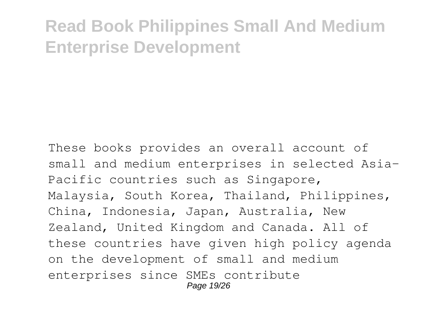These books provides an overall account of small and medium enterprises in selected Asia-Pacific countries such as Singapore, Malaysia, South Korea, Thailand, Philippines, China, Indonesia, Japan, Australia, New Zealand, United Kingdom and Canada. All of these countries have given high policy agenda on the development of small and medium enterprises since SMEs contribute Page 19/26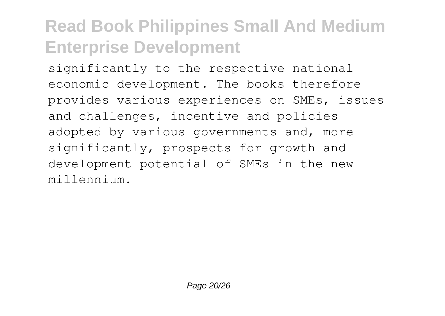significantly to the respective national economic development. The books therefore provides various experiences on SMEs, issues and challenges, incentive and policies adopted by various governments and, more significantly, prospects for growth and development potential of SMEs in the new millennium.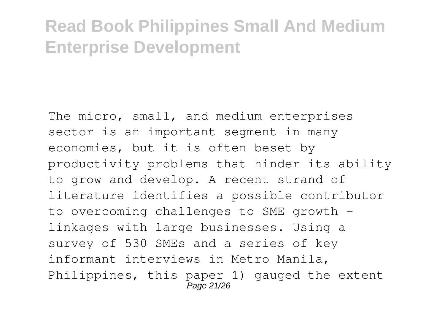The micro, small, and medium enterprises sector is an important segment in many economies, but it is often beset by productivity problems that hinder its ability to grow and develop. A recent strand of literature identifies a possible contributor to overcoming challenges to SME growth linkages with large businesses. Using a survey of 530 SMEs and a series of key informant interviews in Metro Manila, Philippines, this paper 1) gauged the extent Page 21/26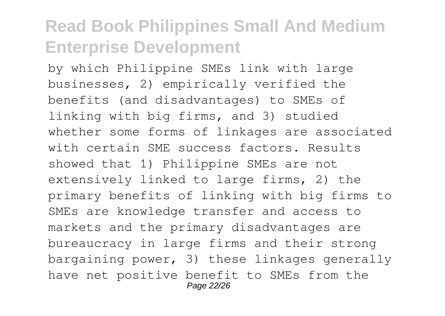by which Philippine SMEs link with large businesses, 2) empirically verified the benefits (and disadvantages) to SMEs of linking with big firms, and 3) studied whether some forms of linkages are associated with certain SME success factors. Results showed that 1) Philippine SMEs are not extensively linked to large firms, 2) the primary benefits of linking with big firms to SMEs are knowledge transfer and access to markets and the primary disadvantages are bureaucracy in large firms and their strong bargaining power, 3) these linkages generally have net positive benefit to SMEs from the Page 22/26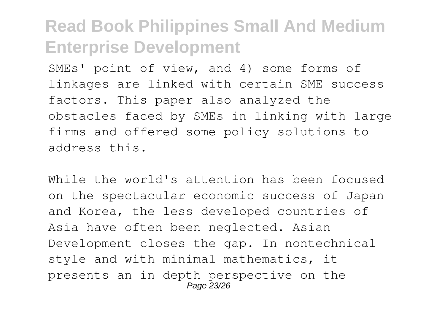SMEs' point of view, and 4) some forms of linkages are linked with certain SME success factors. This paper also analyzed the obstacles faced by SMEs in linking with large firms and offered some policy solutions to address this.

While the world's attention has been focused on the spectacular economic success of Japan and Korea, the less developed countries of Asia have often been neglected. Asian Development closes the gap. In nontechnical style and with minimal mathematics, it presents an in-depth perspective on the Page 23/26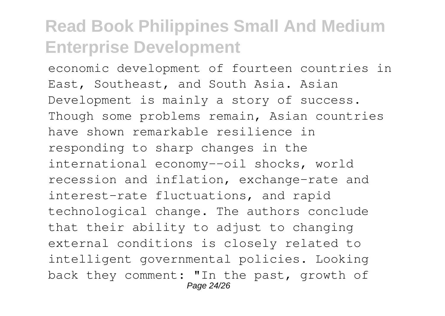economic development of fourteen countries in East, Southeast, and South Asia. Asian Development is mainly a story of success. Though some problems remain, Asian countries have shown remarkable resilience in responding to sharp changes in the international economy--oil shocks, world recession and inflation, exchange-rate and interest-rate fluctuations, and rapid technological change. The authors conclude that their ability to adjust to changing external conditions is closely related to intelligent governmental policies. Looking back they comment: "In the past, growth of Page 24/26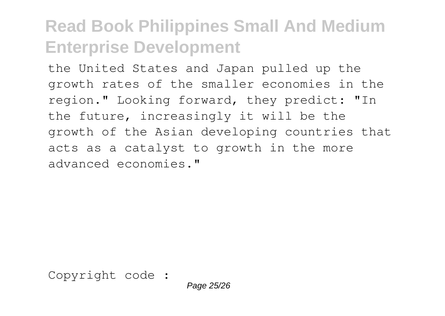the United States and Japan pulled up the growth rates of the smaller economies in the region." Looking forward, they predict: "In the future, increasingly it will be the growth of the Asian developing countries that acts as a catalyst to growth in the more advanced economies."

Copyright code :